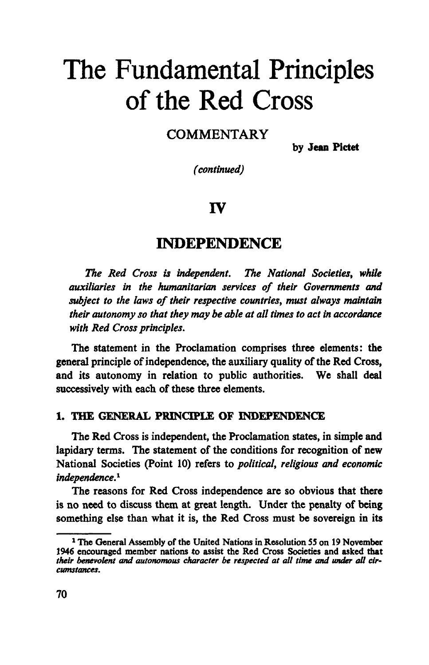# The Fundamental Principles of the Red Cross

### COMMENTARY

**by Jean Pictet**

*(continued)*

# **TV**

## **INDEPENDENCE**

*The Red Cross is independent. The National Societies, while auxiliaries in the humanitarian services of their Governments and subject to the laws of their respective countries, must always maintain their autonomy so that they may be able at all times to act in accordance with Red Cross principles.*

**The statement in the Proclamation comprises three elements: the general principle of independence, the auxiliary quality of the Red Cross, and its autonomy in relation to public authorities. We shall deal successively with each of these three elements.**

#### **1. THE GENERAL PRINCIPLE OF INDEPENDENCE**

**The Red Cross is independent, the Proclamation states, in simple and lapidary terms. The statement of the conditions for recognition of new National Societies (Point 10) refers to** *political, religious and economic independence.1*

**The reasons for Red Cross independence are so obvious that there is no need to discuss them at great length. Under the penalty of being something else than what it is, the Red Cross must be sovereign in its**

<sup>&</sup>lt;sup>1</sup> The General Assembly of the United Nations in Resolution 55 on 19 November  **The General Assembly of the United Nations in Resolution 55 on 19 November 1946 encouraged member nations to assist the Red Cross Societies and asked that** *their benevolent and autonomous character be respected at all time and under all circumstances.*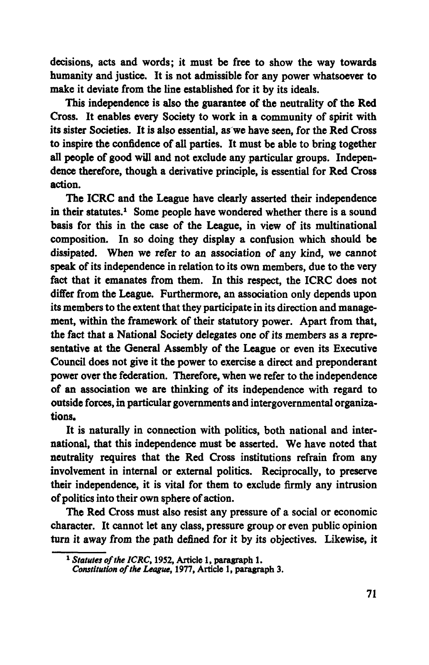**decisions, acts and words; it must be free to show the way towards humanity and justice. It is not admissible for any power whatsoever to make it deviate from the line established for it by its ideals.**

**This independence is also the guarantee of the neutrality of the Red Cross. It enables every Society to work in a community of spirit with its sister Societies. It is also essential, as we have seen, for the Red Cross to inspire the confidence of all parties. It must be able to bring together all people of good will and not exclude any particular groups. Independence therefore, though a derivative principle, is essential for Red Cross action.**

**The ICRC and the League have clearly asserted their independence in their statutes.<sup>1</sup> Some people have wondered whether there is a sound basis for this in the case of the League, in view of its multinational composition. In so doing they display a confusion which should be dissipated. When we refer to an association of any kind, we cannot speak of its independence in relation to its own members, due to the very fact that it emanates from them. In this respect, the ICRC does not differ from the League. Furthermore, an association only depends upon its members to the extent that they participate in its direction and management, within the framework of their statutory power. Apart from that, the fact that a National Society delegates one of its members as a representative at the General Assembly of the League or even its Executive Council does not give it the power to exercise a direct and preponderant power over the federation. Therefore, when we refer to the independence of an association we are thinking of its independence with regard to outside forces, in particular governments and intergovernmental organizations.**

**It is naturally in connection with politics, both national and international, that this independence must be asserted. We have noted that neutrality requires that the Red Cross institutions refrain from any involvement in internal or external politics. Reciprocally, to preserve their independence, it is vital for them to exclude firmly any intrusion of politics into their own sphere of action.**

**The Red Cross must also resist any pressure of a social or economic character. It cannot let any class, pressure group or even public opinion turn it away from the path defined for it by its objectives. Likewise, it**

**<sup>1</sup>**  *Statutes of the ICRC,* **1952, Article 1, paragraph 1.**

*Constitution of the League,* **1977, Article 1, paragraph 3.**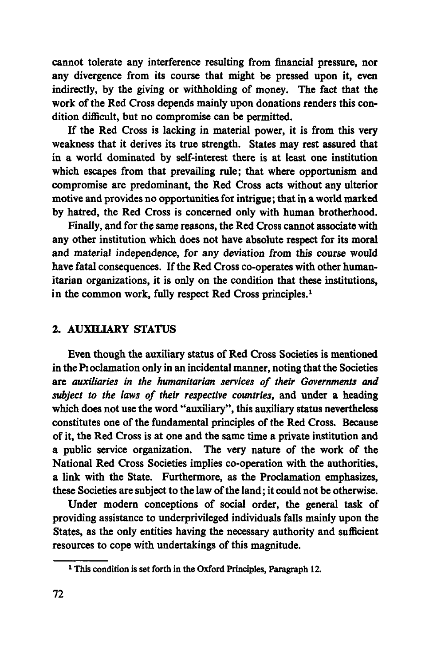cannot tolerate any interference resulting from financial pressure, nor any divergence from its course that might be pressed upon it, even indirectly, by the giving or withholding of money. The fact that the work of the Red Cross depends mainly upon donations renders this condition difficult, but no compromise can be permitted.

If the Red Cross is lacking in material power, it is from this very weakness that it derives its true strength. States may rest assured that in a world dominated by self-interest there is at least one institution which escapes from that prevailing rule; that where opportunism and compromise are predominant, the Red Cross acts without any ulterior motive and provides no opportunities for intrigue; that in a world marked by hatred, the Red Cross is concerned only with human brotherhood.

Finally, and for the same reasons, the Red Cross cannot associate with any other institution which does not have absolute respect for its moral and material independence, for any deviation from this course would have fatal consequences. If the Red Cross co-operates with other humanitarian organizations, it is only on the condition that these institutions, in the common work, fully respect Red Cross principles.<sup>1</sup>

#### 2. AUXILIARY STATUS

Even though the auxiliary status of Red Cross Societies is mentioned in the Pioclamation only in an incidental manner, noting that the Societies are *auxiliaries in the humanitarian services of their Governments and subject to the laws of their respective countries,* and under a heading which does not use the word "auxiliary", this auxiliary status nevertheless constitutes one of the fundamental principles of the Red Cross. Because of it, the Red Cross is at one and the same time a private institution and a public service organization. The very nature of the work of the National Red Cross Societies implies co-operation with the authorities, a link with the State. Furthermore, as the Proclamation emphasizes, these Societies are subject to the law of the land; it could not be otherwise.

Under modern conceptions of social order, the general task of providing assistance to underprivileged individuals falls mainly upon the States, as the only entities having the necessary authority and sufficient resources to cope with undertakings of this magnitude.

**<sup>1</sup> This condition is set forth in the Oxford Principles, Paragraph 12.**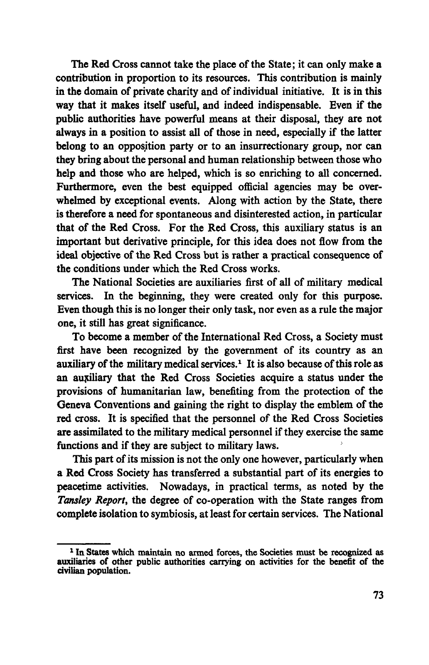The Red Cross cannot take the place of the State; it can only make a contribution in proportion to its resources. This contribution is mainly in the domain of private charity and of individual initiative. It is in this way that it makes itself useful, and indeed indispensable. Even if the public authorities have powerful means at their disposal, they are not always in a position to assist all of those in need, especially if the latter belong to an opposition party or to an insurrectionary group, nor can they bring about the personal and human relationship between those who help and those who are helped, which is so enriching to all concerned. Furthermore, even the best equipped official agencies may be overwhelmed by exceptional events. Along with action by the State, there is therefore a need for spontaneous and disinterested action, in particular that of the Red Cross. For the Red Cross, this auxiliary status is an important but derivative principle, for this idea does not flow from the ideal objective of the Red Cross but is rather a practical consequence of the conditions under which the Red Cross works.

The National Societies are auxiliaries first of all of military medical services. In the beginning, they were created only for this purpose. Even though this is no longer their only task, nor even as a rule the major one, it still has great significance.

To become a member of the International Red Cross, a Society must first have been recognized by the government of its country as an auxiliary of the military medical services.<sup>1</sup> It is also because of this role as an auxiliary that the Red Cross Societies acquire a status under the provisions of humanitarian law, benefiting from the protection of the Geneva Conventions and gaining the right to display the emblem of the red cross. It is specified that the personnel of the Red Cross Societies are assimilated to the military medical personnel if they exercise the same functions and if they are subject to military laws.

This part of its mission is not the only one however, particularly when a Red Cross Society has transferred a substantial part of its energies to peacetime activities. Nowadays, in practical terms, as noted by the *Tansley Report,* the degree of co-operation with the State ranges from complete isolation to symbiosis, at least for certain services. The National

<sup>&</sup>lt;sup>1</sup> In States which maintain no armed forces, the Societies must be recognized as  **InStates which maintain no armed forces, the Societies must be recognized as auxiliaries of other public authorities carrying on activities for the benefit of the civilian population.**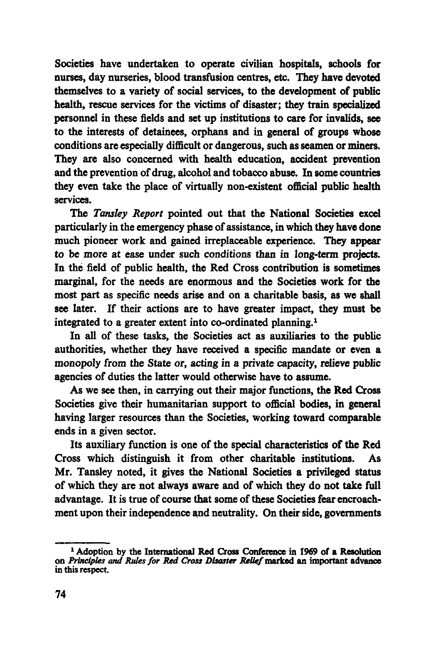**Societies have undertaken to operate civilian hospitals, schools for nurses, day nurseries, blood transfusion centres, etc. They have devoted themselves to a variety of social services, to the development of public health, rescue services for the victims of disaster; they train specialized personnel in these fields and set up institutions to care for invalids, see to the interests of detainees, orphans and in general of groups whose conditions are especially difficult or dangerous, such as seamen or miners. They are also concerned with health education, accident prevention and the prevention of drug, alcohol and tobacco abuse. In some countries they even take the place of virtually non-existent official public health services.**

**The** *Tansley Report* **pointed out that the National Societies excel particularly in the emergency phase of assistance, in which they have done much pioneer work and gained irreplaceable experience. They appear to be more at ease under such conditions than in long-term projects. In the field of public health, the Red Cross contribution is sometimes marginal, for the needs are enormous and the Societies work for the most part as specific needs arise and on a charitable basis, as we shall see later. If their actions are to have greater impact, they must be integrated to a greater extent into co-ordinated planning.<sup>1</sup>**

**In all of these tasks, the Societies act as auxiliaries to the public authorities, whether they have received a specific mandate or even a monopoly from the State or, acting in a private capacity, relieve public agencies of duties the latter would otherwise have to assume.**

**As we see then, in carrying out their major functions, the Red Cross Societies give their humanitarian support to official bodies, in general having larger resources than the Societies, working toward comparable ends in a given sector.**

**Its auxiliary function is one of the special characteristics of the Red Cross which distinguish it from other charitable institutions. As Mr. Tansley noted, it gives the National Societies a privileged status of which they are not always aware and of which they do not take full advantage. It is true of course that some of these Societies fear encroachment upon their independence and neutrality. On their side, governments**

<sup>&</sup>lt;sup>1</sup> Adoption by the International Red Cross Conference in 1969 of a Resolution Adoption by the **International Red Cross Conference in 1969 of a Resolution** on *Principles and Rules for Red Cross Disaster Relief marked* **an important advance** in this respect.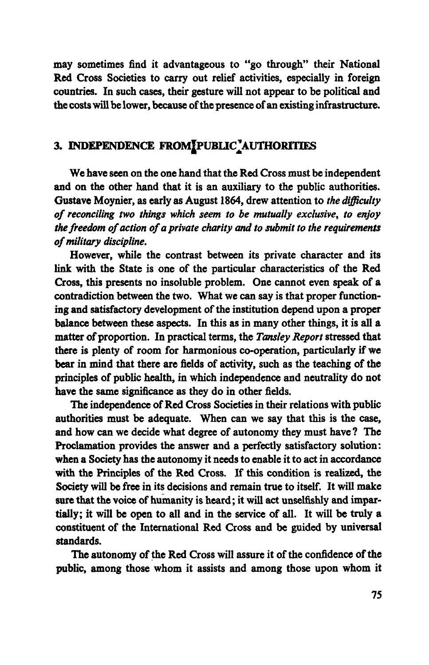**may sometimes find it advantageous to "go through" their National Red Cross Societies to carry out relief activities, especially in foreign countries. In such cases, their gesture will not appear to be political and the costs will be lower, because of the presence of an existing infrastructure.**

## 3. INDEPENDENCE FROM<sup>I</sup>PUBLIC<sup>\*</sup>AUTHORITIES

**We have seen on the one hand that the Red Cross must be independent and on the other hand that it is an auxiliary to the public authorities. Gustave Moynier, as early as August 1864, drew attention to** *the difficulty of reconciling two things which seem to be mutually exclusive, to enjoy the freedom of action of a private charity and to submit to the requirements of military discipline.*

**However, while the contrast between its private character and its link with the State is one of the particular characteristics of the Red Cross, this presents no insoluble problem. One cannot even speak of a contradiction between the two. What we can say is that proper functioning and satisfactory development of the institution depend upon a proper balance between these aspects. In this as in many other things, it is all a matter of proportion. In practical terms, the** *Tansley Report* **stressed that there is plenty of room for harmonious co-operation, particularly if we bear in mind that there are fields of activity, such as the teaching of the principles of public health, in which independence and neutrality do not have the same significance as they do in other fields.**

**The independence of Red Cross Societies in their relations with public authorities must be adequate. When can we say that this is the case, and how can we decide what degree of autonomy they must have ? The Proclamation provides the answer and a perfectly satisfactory solution: when a Society has the autonomy it needs to enable it to act in accordance with the Principles of the Red Cross. If this condition is realized, the Society will be free in its decisions and remain true to itself. It will make sure that the voice of humanity is heard; it will act unselfishly and impartially; it will be open to all and in the service of all. It will be truly a constituent of the International Red Cross and be guided by universal standards.**

**The autonomy of the Red Cross will assure it of the confidence of the public, among those whom it assists and among those upon whom it**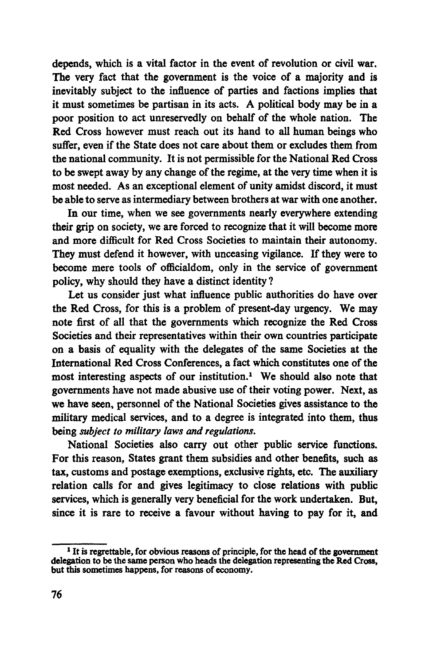depends, which is a vital factor in the event of revolution or civil war. The very fact that the government is the voice of a majority and is inevitably subject to the influence of parties and factions implies that it must sometimes be partisan in its acts. A political body may be in a poor position to act unreservedly on behalf of the whole nation. The Red Cross however must reach out its hand to all human beings who suffer, even if the State does not care about them or excludes them from the national community. It is not permissible for the National Red Cross to be swept away by any change of the regime, at the very time when it is most needed. As an exceptional element of unity amidst discord, it must be able to serve as intermediary between brothers at war with one another.

In our time, when we see governments nearly everywhere extending their grip on society, we are forced to recognize that it will become more and more difficult for Red Cross Societies to maintain their autonomy. They must defend it however, with unceasing vigilance. If they were to become mere tools of officialdom, only in the service of government policy, why should they have a distinct identity ?

Let us consider just what influence public authorities do have over the Red Cross, for this is a problem of present-day urgency. We may note first of all that the governments which recognize the Red Cross Societies and their representatives within their own countries participate on a basis of equality with the delegates of the same Societies at the International Red Cross Conferences, a fact which constitutes one of the most interesting aspects of our institution.<sup>1</sup> We should also note that governments have not made abusive use of their voting power. Next, as we have seen, personnel of the National Societies gives assistance to the military medical services, and to a degree is integrated into them, thus being *subject to military laws and regulations.*

National Societies also carry out other public service functions. For this reason, States grant them subsidies and other benefits, such as tax, customs and postage exemptions, exclusive rights, etc. The auxiliary relation calls for and gives legitimacy to close relations with public services, which is generally very beneficial for the work undertaken. But, since it is rare to receive a favour without having to pay for it, and

**<sup>1</sup> It is regrettable, for obvious reasons of principle, for the head of the government delegation to be the same person who heads the delegation representing the Red Cross, but this sometimes happens, for reasons of economy.**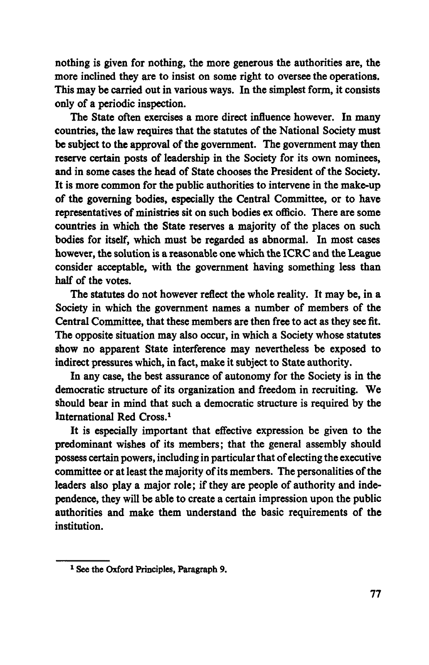nothing is given for nothing, the more generous the authorities are, the more inclined they are to insist on some right to oversee the operations. This may be carried out in various ways. In the simplest form, it consists only of a periodic inspection.

The State often exercises a more direct influence however. In many countries, the law requires that the statutes of the National Society must be subject to the approval of the government. The government may then reserve certain posts of leadership in the Society for its own nominees, and in some cases the head of State chooses the President of the Society. It is more common for the public authorities to intervene in the make-up of the governing bodies, especially the Central Committee, or to have representatives of ministries sit on such bodies ex officio. There are some countries in which the State reserves a majority of the places on such bodies for itself, which must be regarded as abnormal. In most cases however, the solution is a reasonable one which the ICRC and the League consider acceptable, with the government having something less than half of the votes.

The statutes do not however reflect the whole reality. It may be, in a Society in which the government names a number of members of the Central Committee, that these members are then free to act as they see fit. The opposite situation may also occur, in which a Society whose statutes show no apparent State interference may nevertheless be exposed to indirect pressures which, in fact, make it subject to State authority.

In any case, the best assurance of autonomy for the Society is in the democratic structure of its organization and freedom in recruiting. We should bear in mind that such a democratic structure is required by the International Red Cross.1

It is especially important that effective expression be given to the predominant wishes of its members; that the general assembly should possess certain powers, including in particular that of electing the executive committee or at least the majority of its members. The personalities of the leaders also play a major role; if they are people of authority and independence, they will be able to create a certain impression upon the public authorities and make them understand the basic requirements of the institution.

**<sup>1</sup> See the Oxford Principles, Paragraph 9.**